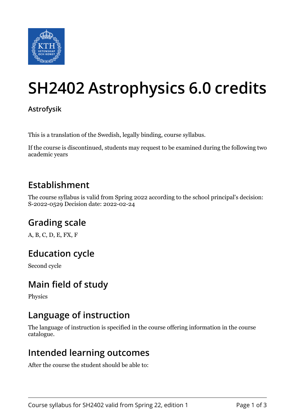

# **SH2402 Astrophysics 6.0 credits**

#### **Astrofysik**

This is a translation of the Swedish, legally binding, course syllabus.

If the course is discontinued, students may request to be examined during the following two academic years

### **Establishment**

The course syllabus is valid from Spring 2022 according to the school principal's decision: S-2022-0529 Decision date: 2022-02-24

# **Grading scale**

A, B, C, D, E, FX, F

# **Education cycle**

Second cycle

# **Main field of study**

Physics

### **Language of instruction**

The language of instruction is specified in the course offering information in the course catalogue.

### **Intended learning outcomes**

After the course the student should be able to: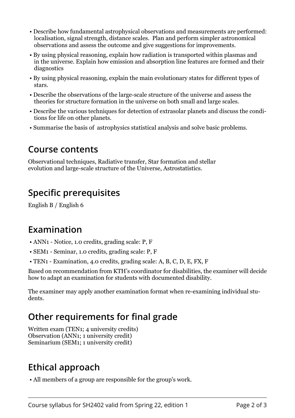- Describe how fundamental astrophysical observations and measurements are performed: localisation, signal strength, distance scales. Plan and perform simpler astronomical observations and assess the outcome and give suggestions for improvements.
- By using physical reasoning, explain how radiation is transported within plasmas and in the universe. Explain how emission and absorption line features are formed and their diagnostics
- By using physical reasoning, explain the main evolutionary states for different types of stars.
- Describe the observations of the large-scale structure of the universe and assess the theories for structure formation in the universe on both small and large scales.
- Describe the various techniques for detection of extrasolar planets and discuss the conditions for life on other planets.
- Summarise the basis of astrophysics statistical analysis and solve basic problems.

#### **Course contents**

Observational techniques, Radiative transfer, Star formation and stellar evolution and large-scale structure of the Universe, Astrostatistics.

## **Specific prerequisites**

English B / English 6

#### **Examination**

- ANN1 Notice, 1.0 credits, grading scale: P, F
- SEM1 Seminar, 1.0 credits, grading scale: P, F
- TEN1 Examination, 4.0 credits, grading scale: A, B, C, D, E, FX, F

Based on recommendation from KTH's coordinator for disabilities, the examiner will decide how to adapt an examination for students with documented disability.

The examiner may apply another examination format when re-examining individual students.

# **Other requirements for final grade**

Written exam (TEN1; 4 university credits) Observation (ANN1; 1 university credit) Seminarium (SEM1; 1 university credit)

# **Ethical approach**

• All members of a group are responsible for the group's work.